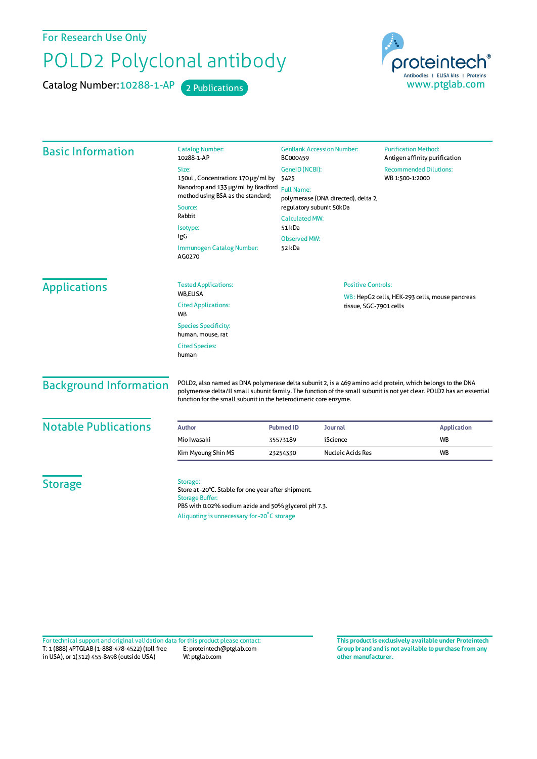For Research Use Only

## POLD2 Polyclonal antibody

Catalog Number: 10288-1-AP 2 Publications



| <b>Basic Information</b>      | <b>Catalog Number:</b><br>10288-1-AP                                                                                                                                                                                                                                                                   | <b>GenBank Accession Number:</b><br>BC000459<br>GeneID (NCBI):<br>5425                                                                                   |                                                                          | <b>Purification Method:</b><br>Antigen affinity purification |  |
|-------------------------------|--------------------------------------------------------------------------------------------------------------------------------------------------------------------------------------------------------------------------------------------------------------------------------------------------------|----------------------------------------------------------------------------------------------------------------------------------------------------------|--------------------------------------------------------------------------|--------------------------------------------------------------|--|
|                               | Size:                                                                                                                                                                                                                                                                                                  |                                                                                                                                                          |                                                                          | <b>Recommended Dilutions:</b><br>WB 1:500-1:2000             |  |
|                               | 150ul, Concentration: 170 µg/ml by                                                                                                                                                                                                                                                                     |                                                                                                                                                          |                                                                          |                                                              |  |
|                               | Nanodrop and 133 µg/ml by Bradford<br>method using BSA as the standard;                                                                                                                                                                                                                                | <b>Full Name:</b><br>polymerase (DNA directed), delta 2,<br>regulatory subunit 50kDa<br><b>Calculated MW:</b><br>51 kDa<br><b>Observed MW:</b><br>52 kDa |                                                                          |                                                              |  |
|                               | Source:                                                                                                                                                                                                                                                                                                |                                                                                                                                                          |                                                                          |                                                              |  |
|                               | Rabbit                                                                                                                                                                                                                                                                                                 |                                                                                                                                                          |                                                                          |                                                              |  |
|                               | Isotype:                                                                                                                                                                                                                                                                                               |                                                                                                                                                          |                                                                          |                                                              |  |
|                               | IgG                                                                                                                                                                                                                                                                                                    |                                                                                                                                                          |                                                                          |                                                              |  |
|                               | <b>Immunogen Catalog Number:</b><br>AG0270                                                                                                                                                                                                                                                             |                                                                                                                                                          |                                                                          |                                                              |  |
| <b>Applications</b>           | <b>Tested Applications:</b>                                                                                                                                                                                                                                                                            | <b>Positive Controls:</b>                                                                                                                                |                                                                          |                                                              |  |
|                               | <b>WB,ELISA</b><br><b>Cited Applications:</b><br><b>WB</b>                                                                                                                                                                                                                                             |                                                                                                                                                          | WB: HepG2 cells, HEK-293 cells, mouse pancreas<br>tissue, SGC-7901 cells |                                                              |  |
|                               | <b>Species Specificity:</b><br>human, mouse, rat                                                                                                                                                                                                                                                       |                                                                                                                                                          |                                                                          |                                                              |  |
|                               | <b>Cited Species:</b><br>human                                                                                                                                                                                                                                                                         |                                                                                                                                                          |                                                                          |                                                              |  |
| <b>Background Information</b> | POLD2, also named as DNA polymerase delta subunit 2, is a 469 amino acid protein, which belongs to the DNA<br>polymerase delta/II small subunit family. The function of the small subunit is not yet clear. POLD2 has an essential<br>function for the small subunit in the heterodimeric core enzyme. |                                                                                                                                                          |                                                                          |                                                              |  |
| <b>Notable Publications</b>   | Author                                                                                                                                                                                                                                                                                                 | <b>Pubmed ID</b>                                                                                                                                         | Journal                                                                  | <b>Application</b>                                           |  |
|                               | Mio Iwasaki                                                                                                                                                                                                                                                                                            | 35573189                                                                                                                                                 | iScience                                                                 | <b>WB</b>                                                    |  |
|                               | Kim Myoung Shin MS                                                                                                                                                                                                                                                                                     | 23254330                                                                                                                                                 | Nucleic Acids Res                                                        | <b>WB</b>                                                    |  |
| <b>Storage</b>                | Storage:<br>Store at -20°C. Stable for one year after shipment.<br><b>Storage Buffer:</b><br>PBS with 0.02% sodium azide and 50% glycerol pH 7.3.<br>Aliquoting is unnecessary for -20°C storage                                                                                                       |                                                                                                                                                          |                                                                          |                                                              |  |

T: 1 (888) 4PTGLAB (1-888-478-4522) (toll free in USA), or 1(312) 455-8498 (outside USA) E: proteintech@ptglab.com W: ptglab.com Fortechnical support and original validation data forthis product please contact: **This productis exclusively available under Proteintech**

**Group brand and is not available to purchase from any other manufacturer.**